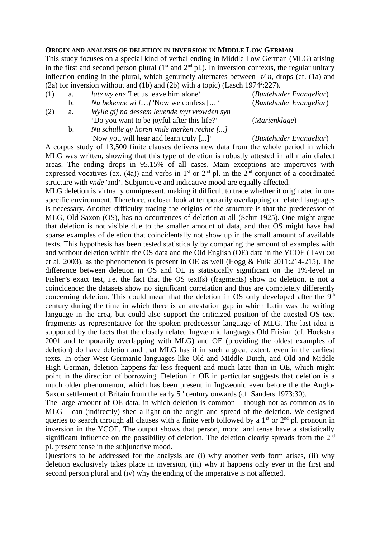## **ORIGIN AND ANALYSIS OF DELETION IN INVERSION IN MIDDLE LOW GERMAN**

This study focuses on a special kind of verbal ending in Middle Low German (MLG) arising in the first and second person plural  $(1<sup>st</sup>$  and  $2<sup>nd</sup>$  pl.). In inversion contexts, the regular unitary inflection ending in the plural, which genuinely alternates between -*t/-n,* drops (cf. (1a) and (2a) for inversion without and  $(1b)$  and  $(2b)$  with a topic) (Lasch 1974<sup>2</sup>:227).

- (1) a. *late wy ene* 'Let us leave him alone' (*Buxtehuder Evangeliar*)
	- b. *Nu bekenne wi […]* 'Now we confess [...]' (*Buxtehuder Evangeliar*)
- (2) a. *Wylle gij na dessem leuende myt vrowden syn* 'Do you want to be joyful after this life?' (*Marienklage*)
	- b. *Nu schulle gy horen vnde merken rechte [...]* 'Now you will hear and learn truly [...]' (*Buxtehuder Evangeliar*)

A corpus study of 13,500 finite clauses delivers new data from the whole period in which MLG was written, showing that this type of deletion is robustly attested in all main dialect areas. The ending drops in 95.15% of all cases. Main exceptions are impertives with expressed vocatives (ex. (4a)) and verbs in 1<sup>st</sup> or 2<sup>nd</sup> pl. in the 2<sup>nd</sup> conjunct of a coordinated structure with *vnde* 'and'. Subjunctive and indicative mood are equally affected.

MLG deletion is virtually omnipresent, making it difficult to trace whether it originated in one specific environment. Therefore, a closer look at temporarily overlapping or related languages is necessary. Another difficulty tracing the origins of the structure is that the predecessor of MLG, Old Saxon (OS), has no occurrences of deletion at all (Sehrt 1925). One might argue that deletion is not visible due to the smaller amount of data, and that OS might have had sparse examples of deletion that coincidentally not show up in the small amount of available texts. This hypothesis has been tested statistically by comparing the amount of examples with and without deletion within the OS data and the Old English (OE) data in the YCOE (TAYLOR et al. 2003), as the phenomenon is present in OE as well (Hogg & Fulk 2011:214-215). The difference between deletion in OS and OE is statistically significant on the 1%-level in Fisher's exact test, i.e. the fact that the OS text(s) (fragments) show no deletion, is not a coincidence: the datasets show no significant correlation and thus are completely differently concerning deletion. This could mean that the deletion in OS only developed after the  $9<sup>th</sup>$ century during the time in which there is an attestation gap in which Latin was the writing language in the area, but could also support the criticized position of the attested OS text fragments as representative for the spoken predecessor language of MLG. The last idea is supported by the facts that the closely related Ingvæonic languages Old Frisian (cf. Hoekstra 2001 and temporarily overlapping with MLG) and OE (providing the oldest examples of deletion) do have deletion and that MLG has it in such a great extent, even in the earliest texts. In other West Germanic languages like Old and Middle Dutch, and Old and Middle High German, deletion happens far less frequent and much later than in OE, which might point in the direction of borrowing. Deletion in OE in particular suggests that deletion is a much older phenomenon, which has been present in Ingvæonic even before the the Anglo-Saxon settlement of Britain from the early  $5<sup>th</sup>$  century onwards (cf. Sanders 1973:30).

The large amount of OE data, in which deletion is common – though not as common as in MLG – can (indirectly) shed a light on the origin and spread of the deletion. We designed queries to search through all clauses with a finite verb followed by a  $1<sup>st</sup>$  or  $2<sup>nd</sup>$  pl. pronoun in inversion in the YCOE. The output shows that person, mood and tense have a statistically significant influence on the possibility of deletion. The deletion clearly spreads from the  $2<sup>nd</sup>$ pl. present tense in the subjunctive mood.

Questions to be addressed for the analysis are (i) why another verb form arises, (ii) why deletion exclusively takes place in inversion, (iii) why it happens only ever in the first and second person plural and (iv) why the ending of the imperative is not affected.